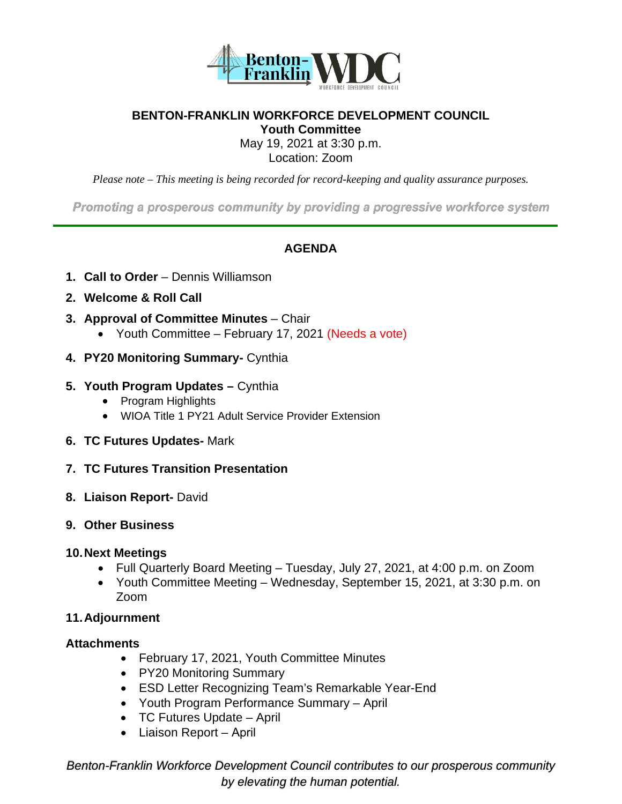

#### **BENTON-FRANKLIN WORKFORCE DEVELOPMENT COUNCIL Youth Committee**

May 19, 2021 at 3:30 p.m.

Location: Zoom

*Please note – This meeting is being recorded for record-keeping and quality assurance purposes.* 

Promoting a prosperous community by providing a progressive workforce system

#### **AGENDA**

- **1. Call to Order** Dennis Williamson
- **2. Welcome & Roll Call**
- **3. Approval of Committee Minutes** Chair
	- Youth Committee February 17, 2021 (Needs a vote)
- **4. PY20 Monitoring Summary-** Cynthia

#### **5. Youth Program Updates –** Cynthia

- Program Highlights
- WIOA Title 1 PY21 Adult Service Provider Extension
- **6. TC Futures Updates-** Mark
- **7. TC Futures Transition Presentation**
- **8. Liaison Report-** David

#### **9. Other Business**

#### **10.Next Meetings**

- Full Quarterly Board Meeting Tuesday, July 27, 2021, at 4:00 p.m. on Zoom
- Youth Committee Meeting Wednesday, September 15, 2021, at 3:30 p.m. on Zoom

#### **11.Adjournment**

#### **Attachments**

- February 17, 2021, Youth Committee Minutes
- PY20 Monitoring Summary
- ESD Letter Recognizing Team's Remarkable Year-End
- Youth Program Performance Summary April
- TC Futures Update April
- Liaison Report April

*Benton-Franklin Workforce Development Council contributes to our prosperous community by elevating the human potential.*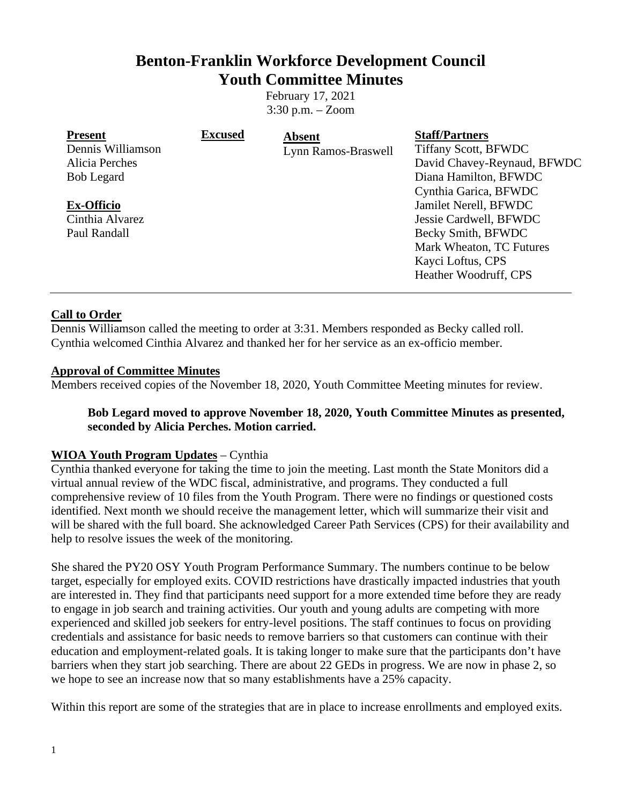#### **Benton-Franklin Workforce Development Council Youth Committee Minutes**

February 17, 2021 3:30 p.m. – Zoom

| <b>Present</b>    | <b>Excused</b> | Absent              | <b>Staff/Partners</b>       |
|-------------------|----------------|---------------------|-----------------------------|
| Dennis Williamson |                | Lynn Ramos-Braswell | <b>Tiffany Scott, BFWDC</b> |
| Alicia Perches    |                |                     | David Chavey-Reynaud, BFWDC |
| <b>Bob Legard</b> |                |                     | Diana Hamilton, BFWDC       |
|                   |                |                     | Cynthia Garica, BFWDC       |
| <b>Ex-Officio</b> |                |                     | Jamilet Nerell, BFWDC       |
| Cinthia Alvarez   |                |                     | Jessie Cardwell, BFWDC      |
| Paul Randall      |                |                     | Becky Smith, BFWDC          |
|                   |                |                     | Mark Wheaton, TC Futures    |
|                   |                |                     | Kayci Loftus, CPS           |
|                   |                |                     | Heather Woodruff, CPS       |
|                   |                |                     |                             |

#### **Call to Order**

Dennis Williamson called the meeting to order at 3:31. Members responded as Becky called roll. Cynthia welcomed Cinthia Alvarez and thanked her for her service as an ex-officio member.

#### **Approval of Committee Minutes**

Members received copies of the November 18, 2020, Youth Committee Meeting minutes for review.

#### **Bob Legard moved to approve November 18, 2020, Youth Committee Minutes as presented, seconded by Alicia Perches. Motion carried.**

#### **WIOA Youth Program Updates** – Cynthia

Cynthia thanked everyone for taking the time to join the meeting. Last month the State Monitors did a virtual annual review of the WDC fiscal, administrative, and programs. They conducted a full comprehensive review of 10 files from the Youth Program. There were no findings or questioned costs identified. Next month we should receive the management letter, which will summarize their visit and will be shared with the full board. She acknowledged Career Path Services (CPS) for their availability and help to resolve issues the week of the monitoring.

She shared the PY20 OSY Youth Program Performance Summary. The numbers continue to be below target, especially for employed exits. COVID restrictions have drastically impacted industries that youth are interested in. They find that participants need support for a more extended time before they are ready to engage in job search and training activities. Our youth and young adults are competing with more experienced and skilled job seekers for entry-level positions. The staff continues to focus on providing credentials and assistance for basic needs to remove barriers so that customers can continue with their education and employment-related goals. It is taking longer to make sure that the participants don't have barriers when they start job searching. There are about 22 GEDs in progress. We are now in phase 2, so we hope to see an increase now that so many establishments have a 25% capacity.

Within this report are some of the strategies that are in place to increase enrollments and employed exits.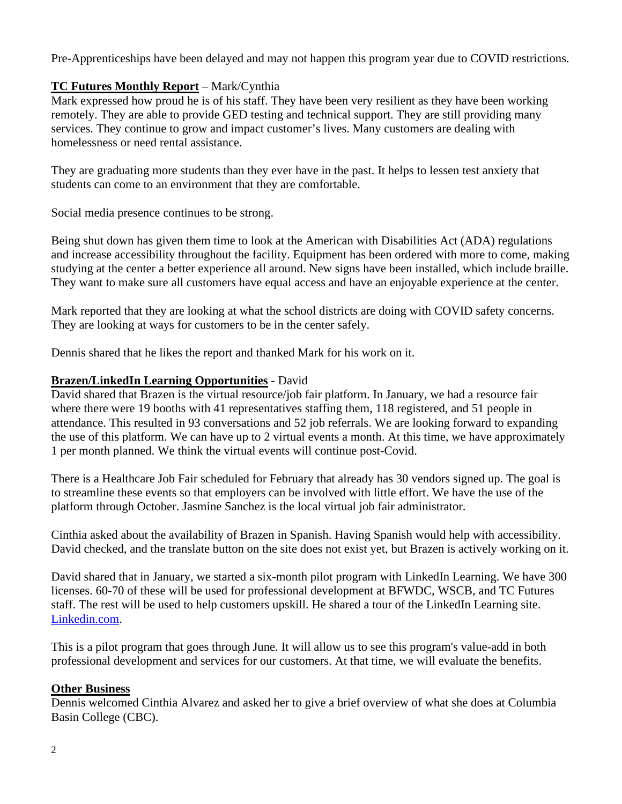Pre-Apprenticeships have been delayed and may not happen this program year due to COVID restrictions.

#### **TC Futures Monthly Report** – Mark/Cynthia

Mark expressed how proud he is of his staff. They have been very resilient as they have been working remotely. They are able to provide GED testing and technical support. They are still providing many services. They continue to grow and impact customer's lives. Many customers are dealing with homelessness or need rental assistance.

They are graduating more students than they ever have in the past. It helps to lessen test anxiety that students can come to an environment that they are comfortable.

Social media presence continues to be strong.

Being shut down has given them time to look at the American with Disabilities Act (ADA) regulations and increase accessibility throughout the facility. Equipment has been ordered with more to come, making studying at the center a better experience all around. New signs have been installed, which include braille. They want to make sure all customers have equal access and have an enjoyable experience at the center.

Mark reported that they are looking at what the school districts are doing with COVID safety concerns. They are looking at ways for customers to be in the center safely.

Dennis shared that he likes the report and thanked Mark for his work on it.

#### **Brazen/LinkedIn Learning Opportunities** - David

David shared that Brazen is the virtual resource/job fair platform. In January, we had a resource fair where there were 19 booths with 41 representatives staffing them, 118 registered, and 51 people in attendance. This resulted in 93 conversations and 52 job referrals. We are looking forward to expanding the use of this platform. We can have up to 2 virtual events a month. At this time, we have approximately 1 per month planned. We think the virtual events will continue post-Covid.

There is a Healthcare Job Fair scheduled for February that already has 30 vendors signed up. The goal is to streamline these events so that employers can be involved with little effort. We have the use of the platform through October. Jasmine Sanchez is the local virtual job fair administrator.

Cinthia asked about the availability of Brazen in Spanish. Having Spanish would help with accessibility. David checked, and the translate button on the site does not exist yet, but Brazen is actively working on it.

David shared that in January, we started a six-month pilot program with LinkedIn Learning. We have 300 licenses. 60-70 of these will be used for professional development at BFWDC, WSCB, and TC Futures staff. The rest will be used to help customers upskill. He shared a tour of the LinkedIn Learning site. Linkedin.com.

This is a pilot program that goes through June. It will allow us to see this program's value-add in both professional development and services for our customers. At that time, we will evaluate the benefits.

#### **Other Business**

Dennis welcomed Cinthia Alvarez and asked her to give a brief overview of what she does at Columbia Basin College (CBC).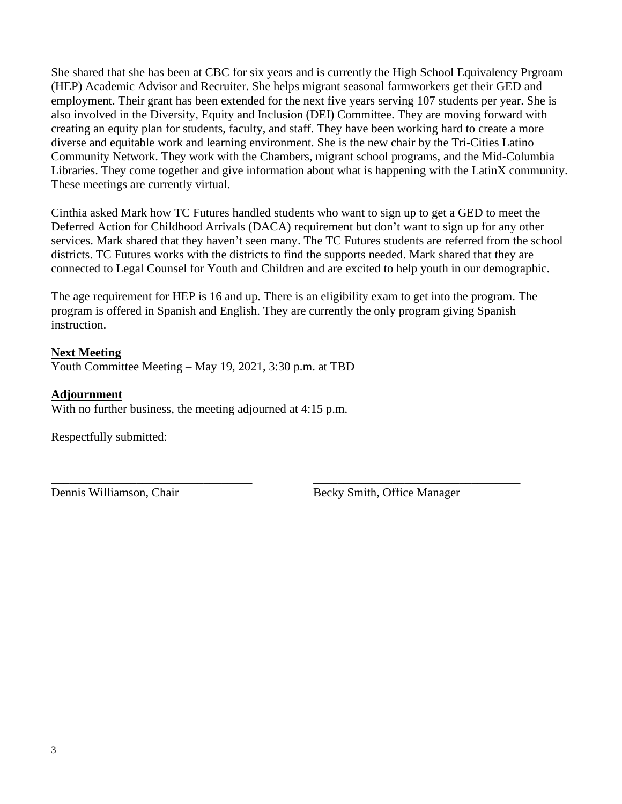She shared that she has been at CBC for six years and is currently the High School Equivalency Prgroam (HEP) Academic Advisor and Recruiter. She helps migrant seasonal farmworkers get their GED and employment. Their grant has been extended for the next five years serving 107 students per year. She is also involved in the Diversity, Equity and Inclusion (DEI) Committee. They are moving forward with creating an equity plan for students, faculty, and staff. They have been working hard to create a more diverse and equitable work and learning environment. She is the new chair by the Tri-Cities Latino Community Network. They work with the Chambers, migrant school programs, and the Mid-Columbia Libraries. They come together and give information about what is happening with the LatinX community. These meetings are currently virtual.

Cinthia asked Mark how TC Futures handled students who want to sign up to get a GED to meet the Deferred Action for Childhood Arrivals (DACA) requirement but don't want to sign up for any other services. Mark shared that they haven't seen many. The TC Futures students are referred from the school districts. TC Futures works with the districts to find the supports needed. Mark shared that they are connected to Legal Counsel for Youth and Children and are excited to help youth in our demographic.

The age requirement for HEP is 16 and up. There is an eligibility exam to get into the program. The program is offered in Spanish and English. They are currently the only program giving Spanish instruction.

#### **Next Meeting**

Youth Committee Meeting – May 19, 2021, 3:30 p.m. at TBD

#### **Adjournment**

With no further business, the meeting adjourned at 4:15 p.m.

Respectfully submitted:

\_\_\_\_\_\_\_\_\_\_\_\_\_\_\_\_\_\_\_\_\_\_\_\_\_\_\_\_\_\_\_\_\_ \_\_\_\_\_\_\_\_\_\_\_\_\_\_\_\_\_\_\_\_\_\_\_\_\_\_\_\_\_\_\_\_\_\_ Dennis Williamson, Chair Becky Smith, Office Manager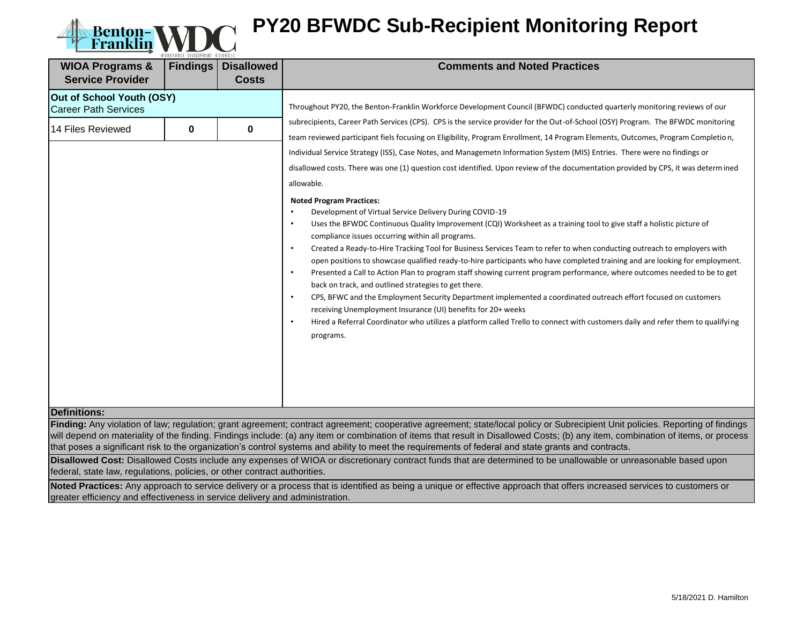

# **Benton-WDC PY20 BFWDC Sub-Recipient Monitoring Report**

| <b>WIOA Programs &amp;</b><br><b>Service Provider</b>                         | WORKFORCE DEVELOPMENT COUNCIL<br><b>Findings</b><br><b>Disallowed</b><br><b>Costs</b> |   | <b>Comments and Noted Practices</b>                                                                                                                                                                                                                                                                                                                                                                                                                                                                                                                                                                                                                                                                                                                                                                                                                                                                                                                                                                                                                                                                                         |
|-------------------------------------------------------------------------------|---------------------------------------------------------------------------------------|---|-----------------------------------------------------------------------------------------------------------------------------------------------------------------------------------------------------------------------------------------------------------------------------------------------------------------------------------------------------------------------------------------------------------------------------------------------------------------------------------------------------------------------------------------------------------------------------------------------------------------------------------------------------------------------------------------------------------------------------------------------------------------------------------------------------------------------------------------------------------------------------------------------------------------------------------------------------------------------------------------------------------------------------------------------------------------------------------------------------------------------------|
| Out of School Youth (OSY)<br><b>Career Path Services</b><br>14 Files Reviewed | 0                                                                                     | 0 | Throughout PY20, the Benton-Franklin Workforce Development Council (BFWDC) conducted quarterly monitoring reviews of our<br>subrecipients, Career Path Services (CPS). CPS is the service provider for the Out-of-School (OSY) Program. The BFWDC monitoring<br>team reviewed participant fiels focusing on Eligibility, Program Enrollment, 14 Program Elements, Outcomes, Program Completion,<br>Individual Service Strategy (ISS), Case Notes, and Managemetn Information System (MIS) Entries. There were no findings or<br>disallowed costs. There was one (1) question cost identified. Upon review of the documentation provided by CPS, it was determined<br>allowable.<br><b>Noted Program Practices:</b><br>Development of Virtual Service Delivery During COVID-19<br>$\bullet$<br>Uses the BFWDC Continuous Quality Improvement (CQI) Worksheet as a training tool to give staff a holistic picture of<br>$\bullet$<br>compliance issues occurring within all programs.<br>Created a Ready-to-Hire Tracking Tool for Business Services Team to refer to when conducting outreach to employers with<br>$\bullet$ |
| <b>Definitions:</b>                                                           |                                                                                       |   | open positions to showcase qualified ready-to-hire participants who have completed training and are looking for employment.<br>Presented a Call to Action Plan to program staff showing current program performance, where outcomes needed to be to get<br>$\bullet$<br>back on track, and outlined strategies to get there.<br>CPS, BFWC and the Employment Security Department implemented a coordinated outreach effort focused on customers<br>$\bullet$<br>receiving Unemployment Insurance (UI) benefits for 20+ weeks<br>Hired a Referral Coordinator who utilizes a platform called Trello to connect with customers daily and refer them to qualifying<br>$\bullet$<br>programs.                                                                                                                                                                                                                                                                                                                                                                                                                                   |

**Finding:** Any violation of law; regulation; grant agreement; contract agreement; cooperative agreement; state/local policy or Subrecipient Unit policies. Reporting of findings will depend on materiality of the finding. Findings include: (a) any item or combination of items that result in Disallowed Costs; (b) any item, combination of items, or process that poses a significant risk to the organization's control systems and ability to meet the requirements of federal and state grants and contracts.

**Disallowed Cost:** Disallowed Costs include any expenses of WIOA or discretionary contract funds that are determined to be unallowable or unreasonable based upon federal, state law, regulations, policies, or other contract authorities.

**Noted Practices:** Any approach to service delivery or a process that is identified as being a unique or effective approach that offers increased services to customers or greater efficiency and effectiveness in service delivery and administration.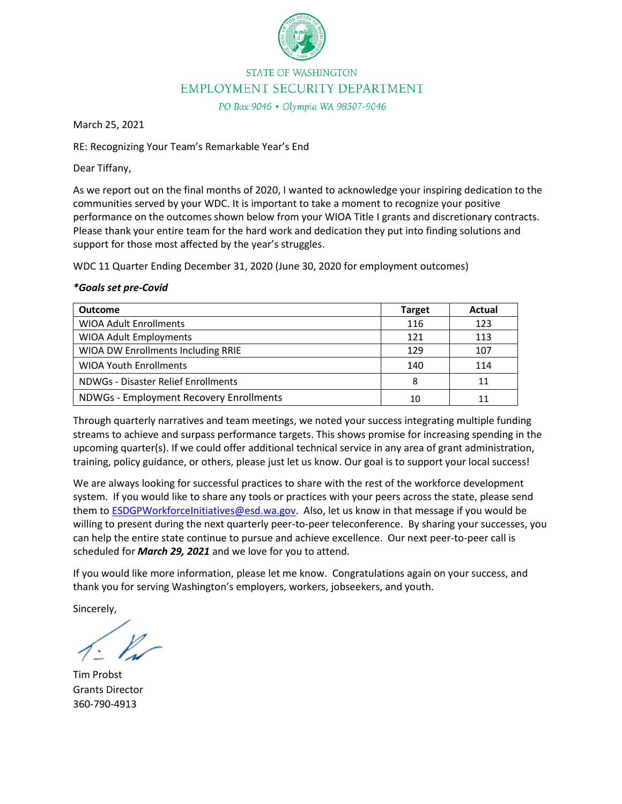

#### **STATE OF WASHINGTON** EMPLOYMENT SECURITY DEPARTMENT

PO Box 9046 . Olympia WA 98507-9046

March 25, 2021

RE: Recognizing Your Team's Remarkable Year's End

Dear Tiffany,

As we report out on the final months of 2020, I wanted to acknowledge your inspiring dedication to the communities served by your WDC. It is important to take a moment to recognize your positive performance on the outcomes shown below from your WIOA Title I grants and discretionary contracts. Please thank your entire team for the hard work and dedication they put into finding solutions and support for those most affected by the year's struggles.

WDC 11 Quarter Ending December 31, 2020 (June 30, 2020 for employment outcomes)

#### *\*Goals set pre-Covid*

| <b>Outcome</b>                          | <b>Target</b> | Actual |
|-----------------------------------------|---------------|--------|
| <b>WIOA Adult Enrollments</b>           | 116           | 123    |
| <b>WIOA Adult Employments</b>           | 121           | 113    |
| WIOA DW Enrollments Including RRIE      | 129           | 107    |
| <b>WIOA Youth Enrollments</b>           | 140           | 114    |
| NDWGs - Disaster Relief Enrollments     | 8             |        |
| NDWGs - Employment Recovery Enrollments | 10            |        |

Through quarterly narratives and team meetings, we noted your success integrating multiple funding streams to achieve and surpass performance targets. This shows promise for increasing spending in the upcoming quarter(s). If we could offer additional technical service in any area of grant administration, training, policy guidance, or others, please just let us know. Our goal is to support your local success!

We are always looking for successful practices to share with the rest of the workforce development system. If you would like to share any tools or practices with your peers across the state, please send them to [ESDGPWorkforceInitiatives@esd.wa.gov.](mailto:ESDGPWorkforceInitiatives@esd.wa.gov) Also, let us know in that message if you would be willing to present during the next quarterly peer-to-peer teleconference. By sharing your successes, you can help the entire state continue to pursue and achieve excellence. Our next peer-to-peer call is scheduled for *March 29, 2021* and we love for you to attend.

If you would like more information, please let me know. Congratulations again on your success, and thank you for serving Washington's employers, workers, jobseekers, and youth.

Sincerely,

Tim Probst Grants Director 360-790-4913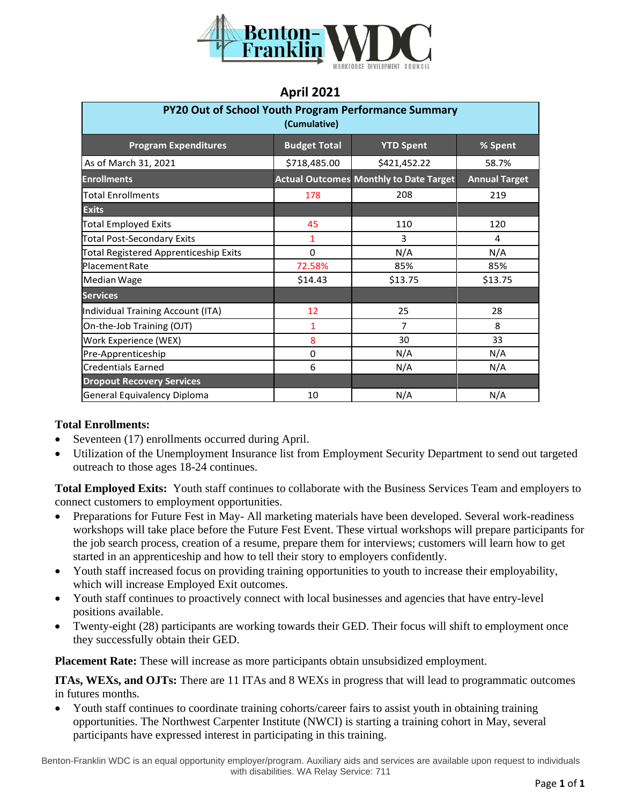

#### **April 2021**

| <b>PY20 Out of School Youth Program Performance Summary</b><br>(Cumulative) |                     |                                               |                      |  |  |
|-----------------------------------------------------------------------------|---------------------|-----------------------------------------------|----------------------|--|--|
| <b>Program Expenditures</b>                                                 | <b>Budget Total</b> | <b>YTD Spent</b>                              | % Spent              |  |  |
| As of March 31, 2021                                                        | \$718,485.00        | \$421,452.22                                  | 58.7%                |  |  |
| <b>Enrollments</b>                                                          |                     | <b>Actual Outcomes Monthly to Date Target</b> | <b>Annual Target</b> |  |  |
| <b>Total Enrollments</b>                                                    | 178                 | 208                                           | 219                  |  |  |
| <b>Exits</b>                                                                |                     |                                               |                      |  |  |
| <b>Total Employed Exits</b>                                                 | 45                  | 110                                           | 120                  |  |  |
| <b>Total Post-Secondary Exits</b>                                           | 1                   | 3                                             | 4                    |  |  |
| <b>Total Registered Apprenticeship Exits</b>                                | 0                   | N/A                                           | N/A                  |  |  |
| Placement Rate                                                              | 72.58%              | 85%                                           | 85%                  |  |  |
| Median Wage                                                                 | \$14.43             | \$13.75                                       | \$13.75              |  |  |
| <b>Services</b>                                                             |                     |                                               |                      |  |  |
| Individual Training Account (ITA)                                           | 12                  | 25                                            | 28                   |  |  |
| On-the-Job Training (OJT)                                                   | 1                   | 7                                             | 8                    |  |  |
| Work Experience (WEX)                                                       | 8                   | 30                                            | 33                   |  |  |
| Pre-Apprenticeship                                                          | $\Omega$            | N/A                                           | N/A                  |  |  |
| <b>Credentials Earned</b>                                                   | 6                   | N/A                                           | N/A                  |  |  |
| <b>Dropout Recovery Services</b>                                            |                     |                                               |                      |  |  |
| General Equivalency Diploma                                                 | 10                  | N/A                                           | N/A                  |  |  |

#### **Total Enrollments:**

- Seventeen (17) enrollments occurred during April.
- Utilization of the Unemployment Insurance list from Employment Security Department to send out targeted outreach to those ages 18-24 continues.

**Total Employed Exits:** Youth staff continues to collaborate with the Business Services Team and employers to connect customers to employment opportunities.

- Preparations for Future Fest in May- All marketing materials have been developed. Several work-readiness workshops will take place before the Future Fest Event. These virtual workshops will prepare participants for the job search process, creation of a resume, prepare them for interviews; customers will learn how to get started in an apprenticeship and how to tell their story to employers confidently.
- Youth staff increased focus on providing training opportunities to youth to increase their employability, which will increase Employed Exit outcomes.
- Youth staff continues to proactively connect with local businesses and agencies that have entry-level positions available.
- Twenty-eight (28) participants are working towards their GED. Their focus will shift to employment once they successfully obtain their GED.

**Placement Rate:** These will increase as more participants obtain unsubsidized employment.

**ITAs, WEXs, and OJTs:** There are 11 ITAs and 8 WEXs in progress that will lead to programmatic outcomes in futures months.

• Youth staff continues to coordinate training cohorts/career fairs to assist youth in obtaining training opportunities. The Northwest Carpenter Institute (NWCI) is starting a training cohort in May, several participants have expressed interest in participating in this training.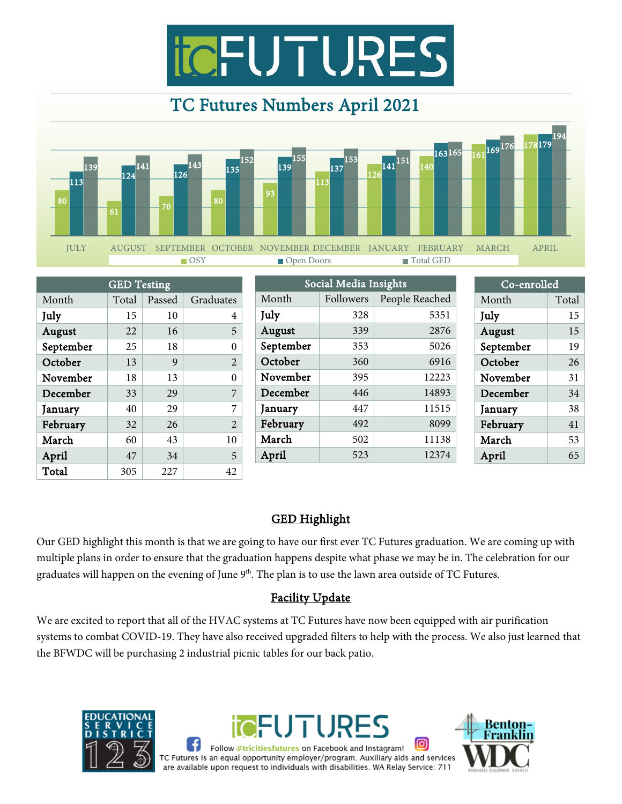



|           | <b>GED</b> Testing |        |                |      | Social Media Insights |           |                | Co-enrolled |       |
|-----------|--------------------|--------|----------------|------|-----------------------|-----------|----------------|-------------|-------|
| Month     | Total              | Passed | Graduates      |      | Month                 | Followers | People Reached | Month       | Total |
| July      | 15                 | 10     | 4              | July |                       | 328       | 5351           | July        | 15    |
| August    | 22                 | 16     | 5              |      | August                | 339       | 2876           | August      | 15    |
| September | 25                 | 18     | $\theta$       |      | September             | 353       | 5026           | September   | 19    |
| October   | 13                 | 9      | $\overline{2}$ |      | October               | 360       | 6916           | October     | 26    |
| November  | 18                 | 13     | $\theta$       |      | November              | 395       | 12223          | November    | 31    |
| December  | 33                 | 29     | 7              |      | December              | 446       | 14893          | December    | 34    |
| January   | 40                 | 29     | 7              |      | January               | 447       | 11515          | January     | 38    |
| February  | 32                 | 26     | $\overline{2}$ |      | February              | 492       | 8099           | February    | 41    |
| March     | 60                 | 43     | 10             |      | March                 | 502       | 11138          | March       | 53    |
| April     | 47                 | 34     | 5              |      | April                 | 523       | 12374          | April       | 65    |
| Total     | 305                | 227    | 42             |      |                       |           |                |             |       |

#### GED Highlight

Our GED highlight this month is that we are going to have our first ever TC Futures graduation. We are coming up with multiple plans in order to ensure that the graduation happens despite what phase we may be in. The celebration for our graduates will happen on the evening of June 9<sup>th</sup>. The plan is to use the lawn area outside of TC Futures.

#### Facility Update

We are excited to report that all of the HVAC systems at TC Futures have now been equipped with air purification systems to combat COVID-19. They have also received upgraded filters to help with the process. We also just learned that the BFWDC will be purchasing 2 industrial picnic tables for our back patio.





[ဝ] Follow @tricitiesfutures on Facebook and Instagram! TC Futures is an equal opportunity employer/program. Auxiliary aids and services are available upon request to individuals with disabilities. WA Relay Service: 711

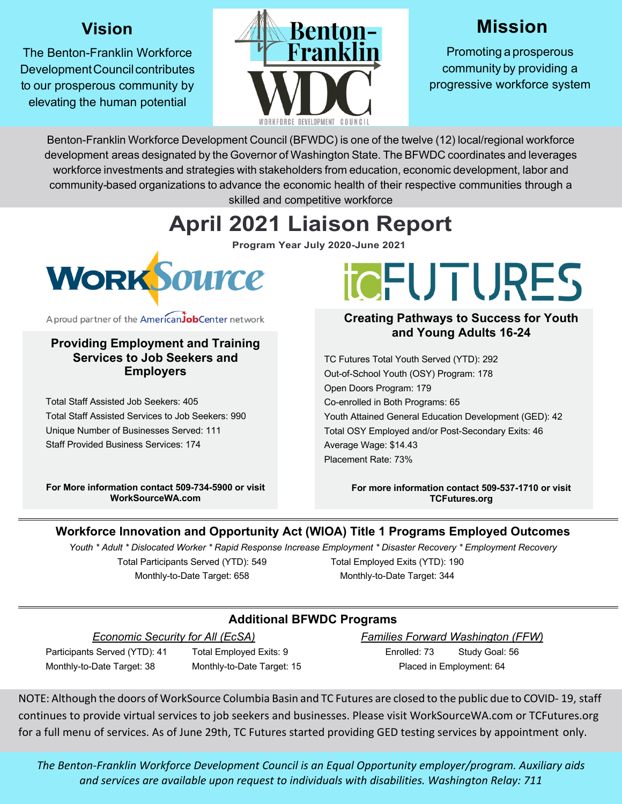#### **Vision**

The Benton-Franklin Workforce Development Council contributes to our prosperous community by elevating the human potential



## **Mission**

Promoting a prosperous community by providing a progressive workforce system

Benton-Franklin Workforce Development Council (BFWDC) is one of the twelve (12) local/regional workforce development areas designated by the Governor of Washington State. The BFWDC coordinates and leverages workforce investments and strategies with stakeholders from education, economic development, labor and community-based organizations to advance the economic health of their respective communities through a skilled and competitive workforce

# **April 2021 Liaison Report**

**Program Year July 2020-June 2021**



A proud partner of the AmericanJobCenter network

#### **Providing Employment and Training Services to Job Seekers and Employers**

Total Staff Assisted Job Seekers: 405 Total Staff Assisted Services to Job Seekers: 990 Unique Number of Businesses Served: 111 Staff Provided Business Services: 174

**For More information contact 509-734-5900 or visit WorkSourceWA.com**

# **TOFUTURES**

#### **Creating Pathways to Success for Youth and Young Adults 16-24**

TC Futures Total Youth Served (YTD): 292 Out-of-School Youth (OSY) Program: 178 Open Doors Program: 179 Co-enrolled in Both Programs: 65 Youth Attained General Education Development (GED): 42 Total OSY Employed and/or Post-Secondary Exits: 46 Average Wage: \$14.43 Placement Rate: 73%

> **For more information contact 509-537-1710 or visit TCFutures.org**

#### **Workforce Innovation and Opportunity Act (WIOA) Title 1 Programs Employed Outcomes**

*Youth \* Adult \* Dislocated Worker \* Rapid Response Increase Employment \* Disaster Recovery \* Employment Recovery*

Total Participants Served (YTD): 549 Monthly-to-Date Target: 658

Total Employed Exits (YTD): 190 Monthly-to-Date Target: 344

#### **Additional BFWDC Programs**

*Economic Security for All (EcSA)*

Participants Served (YTD): 41 Total Employed Exits: 9 Monthly-to-Date Target: 38 Monthly-to-Date Target: 15 *Families Forward Washington (FFW)* Enrolled: 73 Study Goal: 56 Placed in Employment: 64

NOTE: Although the doors of WorkSource Columbia Basin and TC Futures are closed to the public due to COVID- 19, staff continues to provide virtual services to job seekers and businesses. Please visit WorkSourceWA.com or TCFutures.org for a full menu of services. As of June 29th, TC Futures started providing GED testing services by appointment only.

*The Benton-Franklin Workforce Development Council is an Equal Opportunity employer/program. Auxiliary aids and services are available upon request to individuals with disabilities. Washington Relay: 711*